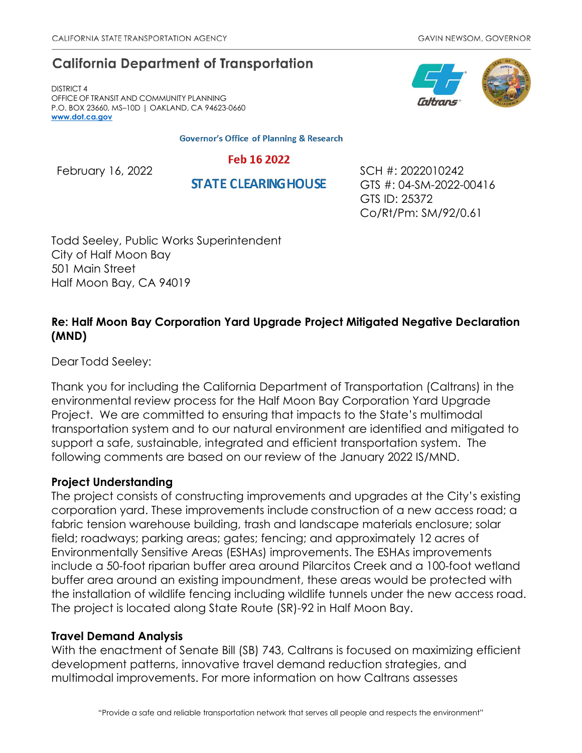# **California Department of Transportation**

DISTRICT 4 OFFICE OF TRANSIT AND COMMUNITY PLANNING P.O. BOX 23660, MS–10D | OAKLAND, CA 94623-0660 **[www.dot.ca.gov](http://www.dot.ca.gov/)**

**Governor's Office of Planning & Research** 

### Feb 16 2022

**STATE CLEARING HOUSE** 

February 16, 2022 **SCH #: 2022010242** GTS #: 04-SM-2022-00416 GTS ID: 25372 Co/Rt/Pm: SM/92/0.61

Todd Seeley, Public Works Superintendent City of Half Moon Bay 501 Main Street Half Moon Bay, CA 94019

# **Re: Half Moon Bay Corporation Yard Upgrade Project Mitigated Negative Declaration (MND)**

Dear Todd Seeley:

Thank you for including the California Department of Transportation (Caltrans) in the environmental review process for the Half Moon Bay Corporation Yard Upgrade Project. We are committed to ensuring that impacts to the State's multimodal transportation system and to our natural environment are identified and mitigated to support a safe, sustainable, integrated and efficient transportation system. The following comments are based on our review of the January 2022 IS/MND.

### **Project Understanding**

The project consists of constructing improvements and upgrades at the City's existing corporation yard. These improvements include construction of a new access road; a fabric tension warehouse building, trash and landscape materials enclosure; solar field; roadways; parking areas; gates; fencing; and approximately 12 acres of Environmentally Sensitive Areas (ESHAs) improvements. The ESHAs improvements include a 50-foot riparian buffer area around Pilarcitos Creek and a 100-foot wetland buffer area around an existing impoundment, these areas would be protected with the installation of wildlife fencing including wildlife tunnels under the new access road. The project is located along State Route (SR)-92 in Half Moon Bay.

### **Travel Demand Analysis**

With the enactment of Senate Bill (SB) 743, Caltrans is focused on maximizing efficient development patterns, innovative travel demand reduction strategies, and multimodal improvements. For more information on how Caltrans assesses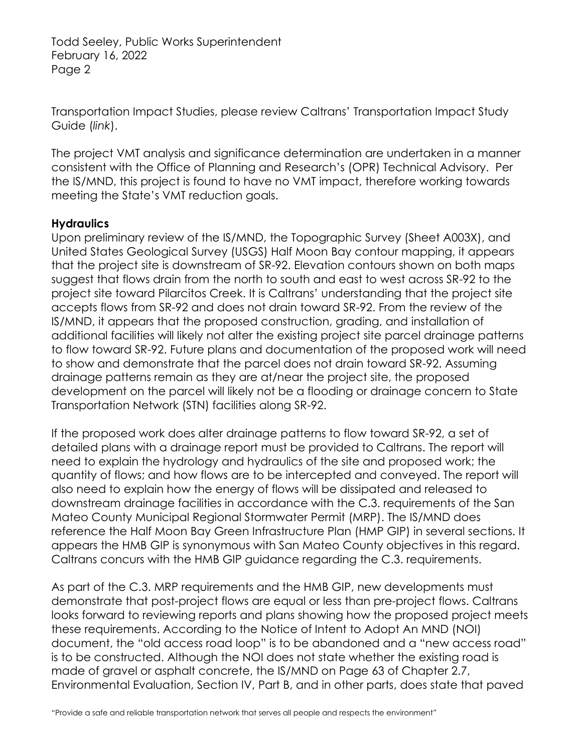Transportation Impact Studies, please review Caltrans' [Transportation Impact Study](https://dot.ca.gov/-/media/dot-media/programs/transportation-planning/documents/sb-743/2020-05-20-approved-vmt-focused-tisg-a11y.pdf)  [Guide \(](https://dot.ca.gov/-/media/dot-media/programs/transportation-planning/documents/sb-743/2020-05-20-approved-vmt-focused-tisg-a11y.pdf)*[link](https://dot.ca.gov/-/media/dot-media/programs/transportation-planning/documents/sb-743/2020-05-20-approved-vmt-focused-tisg-a11y.pdf)*[\).](https://dot.ca.gov/-/media/dot-media/programs/transportation-planning/documents/sb-743/2020-05-20-approved-vmt-focused-tisg-a11y.pdf)

The project VMT analysis and significance determination are undertaken in a manner consistent with the Office of Planning and Research's (OPR) Technical Advisory. Per the IS/MND, this project is found to have no VMT impact, therefore working towards meeting the State's VMT reduction goals.

## **Hydraulics**

Upon preliminary review of the IS/MND, the Topographic Survey (Sheet A003X), and United States Geological Survey (USGS) Half Moon Bay contour mapping, it appears that the project site is downstream of SR-92. Elevation contours shown on both maps suggest that flows drain from the north to south and east to west across SR-92 to the project site toward Pilarcitos Creek. It is Caltrans' understanding that the project site accepts flows from SR-92 and does not drain toward SR-92. From the review of the IS/MND, it appears that the proposed construction, grading, and installation of additional facilities will likely not alter the existing project site parcel drainage patterns to flow toward SR-92. Future plans and documentation of the proposed work will need to show and demonstrate that the parcel does not drain toward SR-92. Assuming drainage patterns remain as they are at/near the project site, the proposed development on the parcel will likely not be a flooding or drainage concern to State Transportation Network (STN) facilities along SR-92.

If the proposed work does alter drainage patterns to flow toward SR-92, a set of detailed plans with a drainage report must be provided to Caltrans. The report will need to explain the hydrology and hydraulics of the site and proposed work; the quantity of flows; and how flows are to be intercepted and conveyed. The report will also need to explain how the energy of flows will be dissipated and released to downstream drainage facilities in accordance with the C.3. requirements of the San Mateo County Municipal Regional Stormwater Permit (MRP). The IS/MND does reference the Half Moon Bay Green Infrastructure Plan (HMP GIP) in several sections. It appears the HMB GIP is synonymous with San Mateo County objectives in this regard. Caltrans concurs with the HMB GIP guidance regarding the C.3. requirements.

As part of the C.3. MRP requirements and the HMB GIP, new developments must demonstrate that post-project flows are equal or less than pre-project flows. Caltrans looks forward to reviewing reports and plans showing how the proposed project meets these requirements. According to the Notice of Intent to Adopt An MND (NOI) document, the "old access road loop" is to be abandoned and a "new access road" is to be constructed. Although the NOI does not state whether the existing road is made of gravel or asphalt concrete, the IS/MND on Page 63 of Chapter 2.7, Environmental Evaluation, Section IV, Part B, and in other parts, does state that paved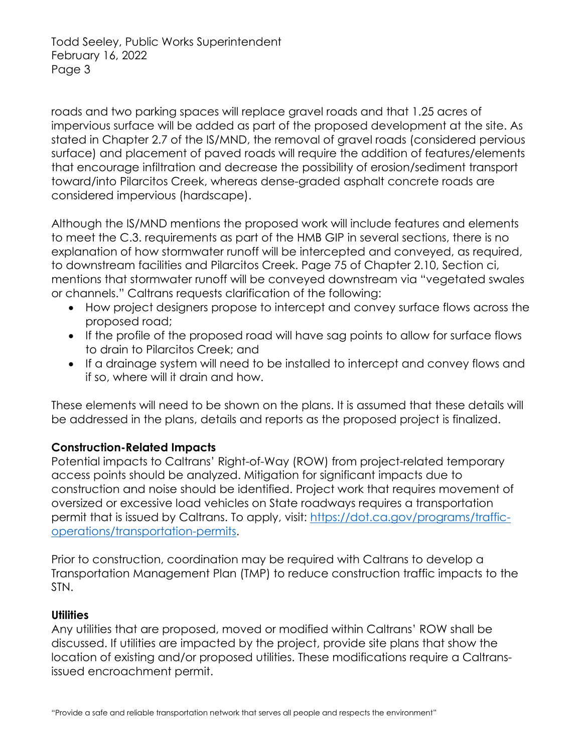roads and two parking spaces will replace gravel roads and that 1.25 acres of impervious surface will be added as part of the proposed development at the site. As stated in Chapter 2.7 of the IS/MND, the removal of gravel roads (considered pervious surface) and placement of paved roads will require the addition of features/elements that encourage infiltration and decrease the possibility of erosion/sediment transport toward/into Pilarcitos Creek, whereas dense-graded asphalt concrete roads are considered impervious (hardscape).

Although the IS/MND mentions the proposed work will include features and elements to meet the C.3. requirements as part of the HMB GIP in several sections, there is no explanation of how stormwater runoff will be intercepted and conveyed, as required, to downstream facilities and Pilarcitos Creek. Page 75 of Chapter 2.10, Section ci, mentions that stormwater runoff will be conveyed downstream via "vegetated swales or channels." Caltrans requests clarification of the following:

- How project designers propose to intercept and convey surface flows across the proposed road;
- If the profile of the proposed road will have sag points to allow for surface flows to drain to Pilarcitos Creek; and
- If a drainage system will need to be installed to intercept and convey flows and if so, where will it drain and how.

These elements will need to be shown on the plans. It is assumed that these details will be addressed in the plans, details and reports as the proposed project is finalized.

# **Construction-Related Impacts**

Potential impacts to Caltrans' Right-of-Way (ROW) from project-related temporary access points should be analyzed. Mitigation for significant impacts due to construction and noise should be identified. Project work that requires movement of oversized or excessive load vehicles on State roadways requires a transportation permit that is issued by Caltrans. To apply, visit: [https://dot.ca.gov/programs/traffic](https://dot.ca.gov/programs/traffic-operations/transportation-permits)[operations/transportation-permits.](https://dot.ca.gov/programs/traffic-operations/transportation-permits)

Prior to construction, coordination may be required with Caltrans to develop a Transportation Management Plan (TMP) to reduce construction traffic impacts to the STN.

#### **Utilities**

Any utilities that are proposed, moved or modified within Caltrans' ROW shall be discussed. If utilities are impacted by the project, provide site plans that show the location of existing and/or proposed utilities. These modifications require a Caltransissued encroachment permit.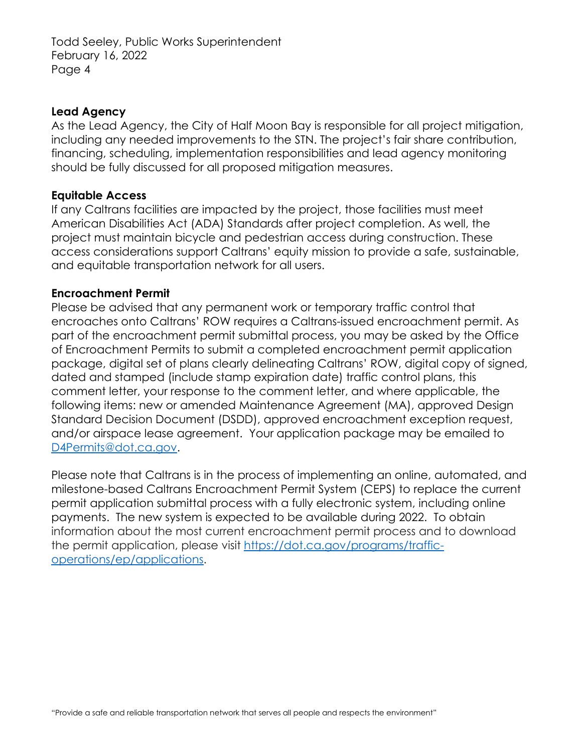### **Lead Agency**

As the Lead Agency, the City of Half Moon Bay is responsible for all project mitigation, including any needed improvements to the STN. The project's fair share contribution, financing, scheduling, implementation responsibilities and lead agency monitoring should be fully discussed for all proposed mitigation measures.

#### **Equitable Access**

If any Caltrans facilities are impacted by the project, those facilities must meet American Disabilities Act (ADA) Standards after project completion. As well, the project must maintain bicycle and pedestrian access during construction. These access considerations support Caltrans' equity mission to provide a safe, sustainable, and equitable transportation network for all users.

#### **Encroachment Permit**

Please be advised that any permanent work or temporary traffic control that encroaches onto Caltrans' ROW requires a Caltrans-issued encroachment permit. As part of the encroachment permit submittal process, you may be asked by the Office of Encroachment Permits to submit a completed encroachment permit application package, digital set of plans clearly delineating Caltrans' ROW, digital copy of signed, dated and stamped (include stamp expiration date) traffic control plans, this comment letter, your response to the comment letter, and where applicable, the following items: new or amended Maintenance Agreement (MA), approved Design Standard Decision Document (DSDD), approved encroachment exception request, and/or airspace lease agreement. Your application package may be emailed to [D4Permits@dot.ca.gov.](mailto:D4Permits@dot.ca.gov)

Please note that Caltrans is in the process of implementing an online, automated, and milestone-based Caltrans Encroachment Permit System (CEPS) to replace the current permit application submittal process with a fully electronic system, including online payments. The new system is expected to be available during 2022. To obtain information about the most current encroachment permit process and to download the permit application, please visit [https://dot.ca.gov/programs/traffic](https://dot.ca.gov/programs/traffic-operations/ep/applications)[operations/ep/applications.](https://dot.ca.gov/programs/traffic-operations/ep/applications)